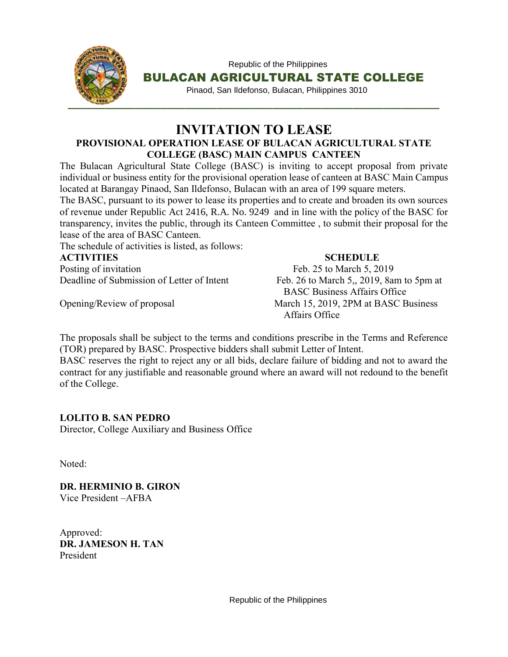

 Republic of the Philippines BULACAN AGRICULTURAL STATE COLLEGE

Pinaod, San Ildefonso, Bulacan, Philippines 3010

### **INVITATION TO LEASE PROVISIONAL OPERATION LEASE OF BULACAN AGRICULTURAL STATE COLLEGE (BASC) MAIN CAMPUS CANTEEN**

The Bulacan Agricultural State College (BASC) is inviting to accept proposal from private individual or business entity for the provisional operation lease of canteen at BASC Main Campus located at Barangay Pinaod, San Ildefonso, Bulacan with an area of 199 square meters.

The BASC, pursuant to its power to lease its properties and to create and broaden its own sources of revenue under Republic Act 2416, R.A. No. 9249 and in line with the policy of the BASC for transparency, invites the public, through its Canteen Committee , to submit their proposal for the lease of the area of BASC Canteen.

The schedule of activities is listed, as follows:

#### **ACTIVITIES SCHEDULE**

Posting of invitation Feb. 25 to March 5, 2019 Deadline of Submission of Letter of Intent Feb. 26 to March 5,, 2019, 8am to 5pm at

 BASC Business Affairs Office Opening/Review of proposal March 15, 2019, 2PM at BASC Business Affairs Office

The proposals shall be subject to the terms and conditions prescribe in the Terms and Reference (TOR) prepared by BASC. Prospective bidders shall submit Letter of Intent.

BASC reserves the right to reject any or all bids, declare failure of bidding and not to award the contract for any justifiable and reasonable ground where an award will not redound to the benefit of the College.

### **LOLITO B. SAN PEDRO**

Director, College Auxiliary and Business Office

Noted:

**DR. HERMINIO B. GIRON**  Vice President –AFBA

Approved: **DR. JAMESON H. TAN**  President

Republic of the Philippines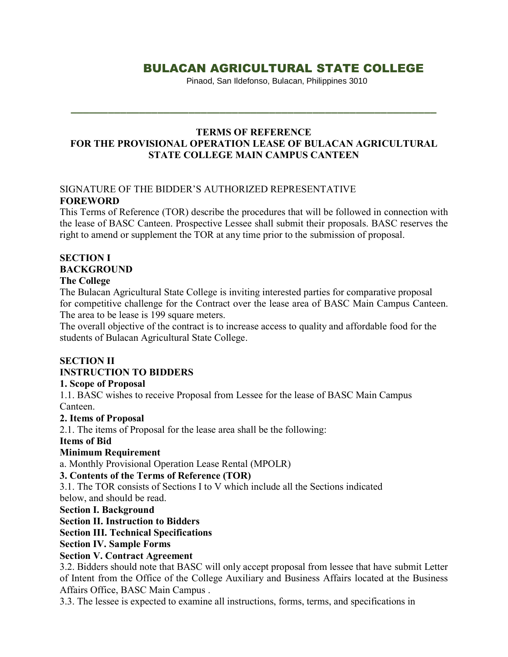# BULACAN AGRICULTURAL STATE COLLEGE

Pinaod, San Ildefonso, Bulacan, Philippines 3010

#### **TERMS OF REFERENCE FOR THE PROVISIONAL OPERATION LEASE OF BULACAN AGRICULTURAL STATE COLLEGE MAIN CAMPUS CANTEEN**

#### SIGNATURE OF THE BIDDER'S AUTHORIZED REPRESENTATIVE **FOREWORD**

This Terms of Reference (TOR) describe the procedures that will be followed in connection with the lease of BASC Canteen. Prospective Lessee shall submit their proposals. BASC reserves the right to amend or supplement the TOR at any time prior to the submission of proposal.

# **SECTION I BACKGROUND**

#### **The College**

The Bulacan Agricultural State College is inviting interested parties for comparative proposal for competitive challenge for the Contract over the lease area of BASC Main Campus Canteen. The area to be lease is 199 square meters.

The overall objective of the contract is to increase access to quality and affordable food for the students of Bulacan Agricultural State College.

# **SECTION II INSTRUCTION TO BIDDERS**

#### **1. Scope of Proposal**

1.1. BASC wishes to receive Proposal from Lessee for the lease of BASC Main Campus Canteen.

#### **2. Items of Proposal**

2.1. The items of Proposal for the lease area shall be the following:

#### **Items of Bid**

#### **Minimum Requirement**

a. Monthly Provisional Operation Lease Rental (MPOLR)

#### **3. Contents of the Terms of Reference (TOR)**

3.1. The TOR consists of Sections I to V which include all the Sections indicated below, and should be read.

#### **Section I. Background**

**Section II. Instruction to Bidders**

**Section III. Technical Specifications**

**Section IV. Sample Forms**

#### **Section V. Contract Agreement**

3.2. Bidders should note that BASC will only accept proposal from lessee that have submit Letter of Intent from the Office of the College Auxiliary and Business Affairs located at the Business Affairs Office, BASC Main Campus .

3.3. The lessee is expected to examine all instructions, forms, terms, and specifications in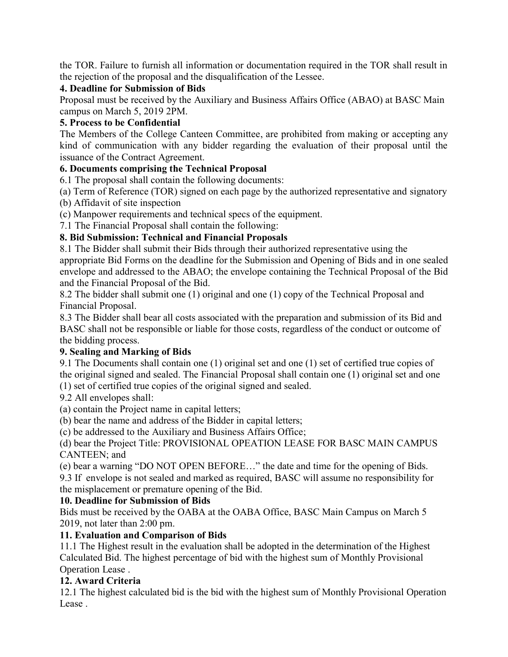the TOR. Failure to furnish all information or documentation required in the TOR shall result in the rejection of the proposal and the disqualification of the Lessee.

### **4. Deadline for Submission of Bids**

Proposal must be received by the Auxiliary and Business Affairs Office (ABAO) at BASC Main campus on March 5, 2019 2PM.

### **5. Process to be Confidential**

The Members of the College Canteen Committee, are prohibited from making or accepting any kind of communication with any bidder regarding the evaluation of their proposal until the issuance of the Contract Agreement.

# **6. Documents comprising the Technical Proposal**

6.1 The proposal shall contain the following documents:

(a) Term of Reference (TOR) signed on each page by the authorized representative and signatory

(b) Affidavit of site inspection

(c) Manpower requirements and technical specs of the equipment.

7.1 The Financial Proposal shall contain the following:

# **8. Bid Submission: Technical and Financial Proposals**

8.1 The Bidder shall submit their Bids through their authorized representative using the appropriate Bid Forms on the deadline for the Submission and Opening of Bids and in one sealed envelope and addressed to the ABAO; the envelope containing the Technical Proposal of the Bid and the Financial Proposal of the Bid.

8.2 The bidder shall submit one (1) original and one (1) copy of the Technical Proposal and Financial Proposal.

8.3 The Bidder shall bear all costs associated with the preparation and submission of its Bid and BASC shall not be responsible or liable for those costs, regardless of the conduct or outcome of the bidding process.

### **9. Sealing and Marking of Bids**

9.1 The Documents shall contain one (1) original set and one (1) set of certified true copies of the original signed and sealed. The Financial Proposal shall contain one (1) original set and one (1) set of certified true copies of the original signed and sealed.

9.2 All envelopes shall:

(a) contain the Project name in capital letters;

(b) bear the name and address of the Bidder in capital letters;

(c) be addressed to the Auxiliary and Business Affairs Office;

(d) bear the Project Title: PROVISIONAL OPEATION LEASE FOR BASC MAIN CAMPUS CANTEEN; and

(e) bear a warning "DO NOT OPEN BEFORE…" the date and time for the opening of Bids.

9.3 If envelope is not sealed and marked as required, BASC will assume no responsibility for the misplacement or premature opening of the Bid.

### **10. Deadline for Submission of Bids**

Bids must be received by the OABA at the OABA Office, BASC Main Campus on March 5 2019, not later than 2:00 pm.

### **11. Evaluation and Comparison of Bids**

11.1 The Highest result in the evaluation shall be adopted in the determination of the Highest Calculated Bid. The highest percentage of bid with the highest sum of Monthly Provisional Operation Lease .

# **12. Award Criteria**

12.1 The highest calculated bid is the bid with the highest sum of Monthly Provisional Operation Lease .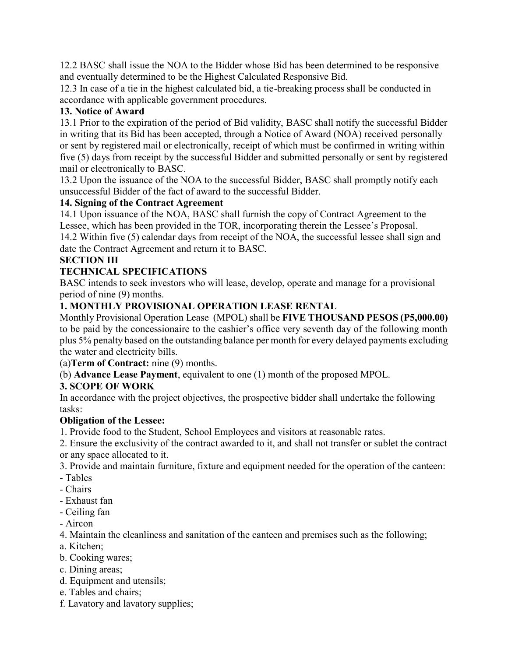12.2 BASC shall issue the NOA to the Bidder whose Bid has been determined to be responsive and eventually determined to be the Highest Calculated Responsive Bid.

12.3 In case of a tie in the highest calculated bid, a tie-breaking process shall be conducted in accordance with applicable government procedures.

### **13. Notice of Award**

13.1 Prior to the expiration of the period of Bid validity, BASC shall notify the successful Bidder in writing that its Bid has been accepted, through a Notice of Award (NOA) received personally or sent by registered mail or electronically, receipt of which must be confirmed in writing within five (5) days from receipt by the successful Bidder and submitted personally or sent by registered mail or electronically to BASC.

13.2 Upon the issuance of the NOA to the successful Bidder, BASC shall promptly notify each unsuccessful Bidder of the fact of award to the successful Bidder.

### **14. Signing of the Contract Agreement**

14.1 Upon issuance of the NOA, BASC shall furnish the copy of Contract Agreement to the Lessee, which has been provided in the TOR, incorporating therein the Lessee's Proposal.

14.2 Within five (5) calendar days from receipt of the NOA, the successful lessee shall sign and date the Contract Agreement and return it to BASC.

# **SECTION III**

# **TECHNICAL SPECIFICATIONS**

BASC intends to seek investors who will lease, develop, operate and manage for a provisional period of nine (9) months.

# **1. MONTHLY PROVISIONAL OPERATION LEASE RENTAL**

Monthly Provisional Operation Lease (MPOL) shall be **FIVE THOUSAND PESOS (P5,000.00)** to be paid by the concessionaire to the cashier's office very seventh day of the following month plus 5% penalty based on the outstanding balance per month for every delayed payments excluding the water and electricity bills.

(a)**Term of Contract:** nine (9) months.

(b) **Advance Lease Payment**, equivalent to one (1) month of the proposed MPOL.

# **3. SCOPE OF WORK**

In accordance with the project objectives, the prospective bidder shall undertake the following tasks:

### **Obligation of the Lessee:**

- 1. Provide food to the Student, School Employees and visitors at reasonable rates.
- 2. Ensure the exclusivity of the contract awarded to it, and shall not transfer or sublet the contract or any space allocated to it.

3. Provide and maintain furniture, fixture and equipment needed for the operation of the canteen:

- Tables
- Chairs
- Exhaust fan
- Ceiling fan
- Aircon

4. Maintain the cleanliness and sanitation of the canteen and premises such as the following;

- a. Kitchen;
- b. Cooking wares;
- c. Dining areas;
- d. Equipment and utensils;
- e. Tables and chairs;
- f. Lavatory and lavatory supplies;